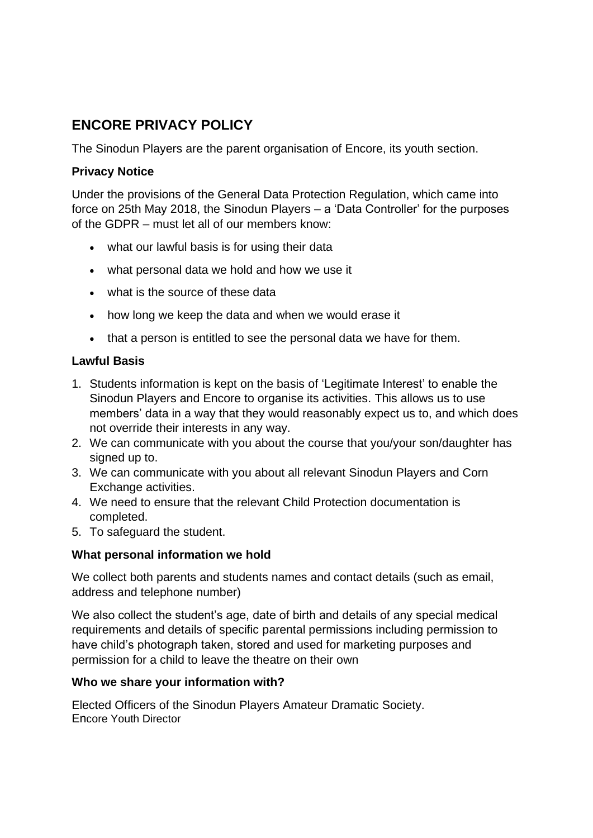# **ENCORE PRIVACY POLICY**

The Sinodun Players are the parent organisation of Encore, its youth section.

## **Privacy Notice**

Under the provisions of the General Data Protection Regulation, which came into force on 25th May 2018, the Sinodun Players – a 'Data Controller' for the purposes of the GDPR – must let all of our members know:

- what our lawful basis is for using their data
- what personal data we hold and how we use it
- what is the source of these data
- how long we keep the data and when we would erase it
- that a person is entitled to see the personal data we have for them.

## **Lawful Basis**

- 1. Students information is kept on the basis of 'Legitimate Interest' to enable the Sinodun Players and Encore to organise its activities. This allows us to use members' data in a way that they would reasonably expect us to, and which does not override their interests in any way.
- 2. We can communicate with you about the course that you/your son/daughter has signed up to.
- 3. We can communicate with you about all relevant Sinodun Players and Corn Exchange activities.
- 4. We need to ensure that the relevant Child Protection documentation is completed.
- 5. To safeguard the student.

# **What personal information we hold**

We collect both parents and students names and contact details (such as email, address and telephone number)

We also collect the student's age, date of birth and details of any special medical requirements and details of specific parental permissions including permission to have child's photograph taken, stored and used for marketing purposes and permission for a child to leave the theatre on their own

#### **Who we share your information with?**

Elected Officers of the Sinodun Players Amateur Dramatic Society. Encore Youth Director